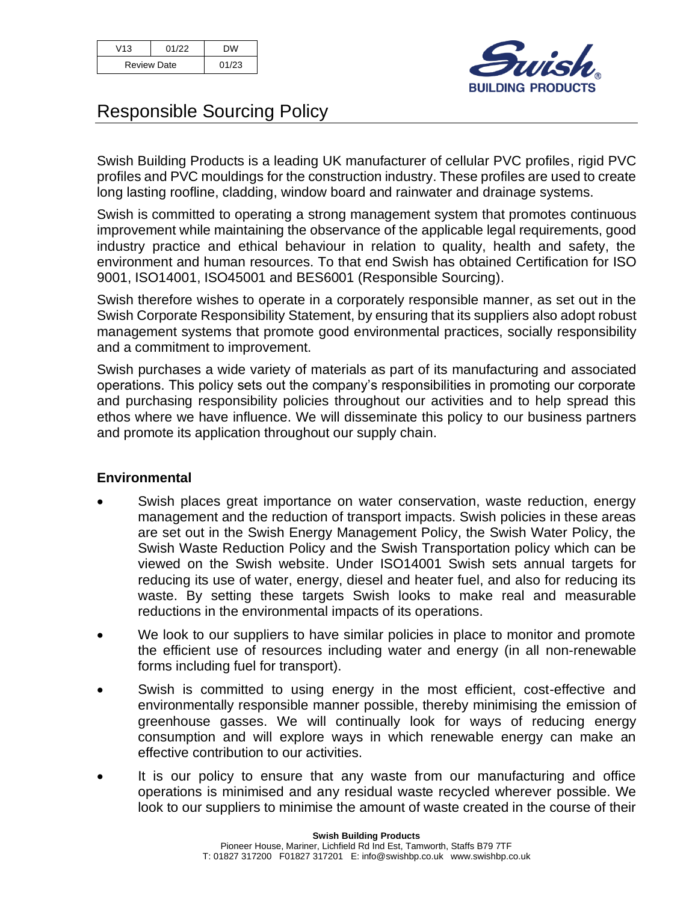| V13                | 01/22 | <b>DW</b> |
|--------------------|-------|-----------|
| <b>Review Date</b> |       | 01/23     |



# Responsible Sourcing Policy

Swish Building Products is a leading UK manufacturer of cellular PVC profiles, rigid PVC profiles and PVC mouldings for the construction industry. These profiles are used to create long lasting roofline, cladding, window board and rainwater and drainage systems.

Swish is committed to operating a strong management system that promotes continuous improvement while maintaining the observance of the applicable legal requirements, good industry practice and ethical behaviour in relation to quality, health and safety, the environment and human resources. To that end Swish has obtained Certification for ISO 9001, ISO14001, ISO45001 and BES6001 (Responsible Sourcing).

Swish therefore wishes to operate in a corporately responsible manner, as set out in the Swish Corporate Responsibility Statement, by ensuring that its suppliers also adopt robust management systems that promote good environmental practices, socially responsibility and a commitment to improvement.

Swish purchases a wide variety of materials as part of its manufacturing and associated operations. This policy sets out the company's responsibilities in promoting our corporate and purchasing responsibility policies throughout our activities and to help spread this ethos where we have influence. We will disseminate this policy to our business partners and promote its application throughout our supply chain.

## **Environmental**

- Swish places great importance on water conservation, waste reduction, energy management and the reduction of transport impacts. Swish policies in these areas are set out in the Swish Energy Management Policy, the Swish Water Policy, the Swish Waste Reduction Policy and the Swish Transportation policy which can be viewed on the Swish website. Under ISO14001 Swish sets annual targets for reducing its use of water, energy, diesel and heater fuel, and also for reducing its waste. By setting these targets Swish looks to make real and measurable reductions in the environmental impacts of its operations.
- We look to our suppliers to have similar policies in place to monitor and promote the efficient use of resources including water and energy (in all non-renewable forms including fuel for transport).
- Swish is committed to using energy in the most efficient, cost-effective and environmentally responsible manner possible, thereby minimising the emission of greenhouse gasses. We will continually look for ways of reducing energy consumption and will explore ways in which renewable energy can make an effective contribution to our activities.
- It is our policy to ensure that any waste from our manufacturing and office operations is minimised and any residual waste recycled wherever possible. We look to our suppliers to minimise the amount of waste created in the course of their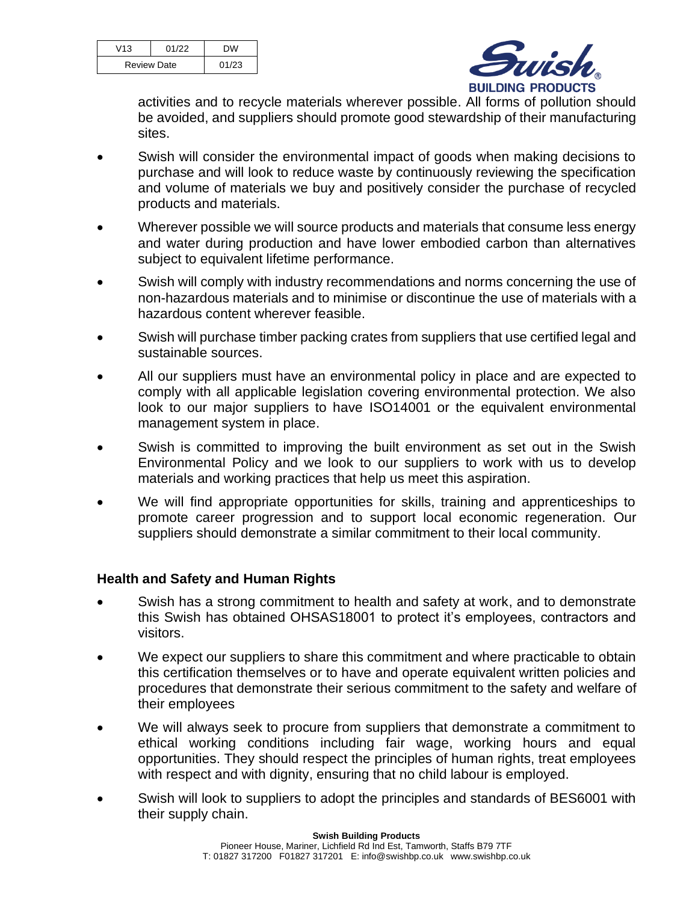| V13                | 01/22 | DW    |
|--------------------|-------|-------|
| <b>Review Date</b> |       | 01/23 |



activities and to recycle materials wherever possible. All forms of pollution should be avoided, and suppliers should promote good stewardship of their manufacturing sites.

- Swish will consider the environmental impact of goods when making decisions to purchase and will look to reduce waste by continuously reviewing the specification and volume of materials we buy and positively consider the purchase of recycled products and materials.
- Wherever possible we will source products and materials that consume less energy and water during production and have lower embodied carbon than alternatives subject to equivalent lifetime performance.
- Swish will comply with industry recommendations and norms concerning the use of non-hazardous materials and to minimise or discontinue the use of materials with a hazardous content wherever feasible.
- Swish will purchase timber packing crates from suppliers that use certified legal and sustainable sources.
- All our suppliers must have an environmental policy in place and are expected to comply with all applicable legislation covering environmental protection. We also look to our major suppliers to have ISO14001 or the equivalent environmental management system in place.
- Swish is committed to improving the built environment as set out in the Swish Environmental Policy and we look to our suppliers to work with us to develop materials and working practices that help us meet this aspiration.
- We will find appropriate opportunities for skills, training and apprenticeships to promote career progression and to support local economic regeneration. Our suppliers should demonstrate a similar commitment to their local community.

## **Health and Safety and Human Rights**

- Swish has a strong commitment to health and safety at work, and to demonstrate this Swish has obtained OHSAS18001 to protect it's employees, contractors and visitors.
- We expect our suppliers to share this commitment and where practicable to obtain this certification themselves or to have and operate equivalent written policies and procedures that demonstrate their serious commitment to the safety and welfare of their employees
- We will always seek to procure from suppliers that demonstrate a commitment to ethical working conditions including fair wage, working hours and equal opportunities. They should respect the principles of human rights, treat employees with respect and with dignity, ensuring that no child labour is employed.
- Swish will look to suppliers to adopt the principles and standards of BES6001 with their supply chain.